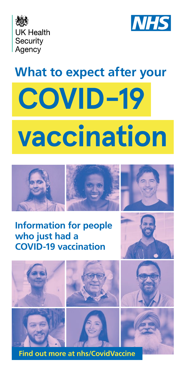



# **What to expect after your**

# **COVID-19 vaccination**



# **Information for people who just had a COVID-19 vaccination**



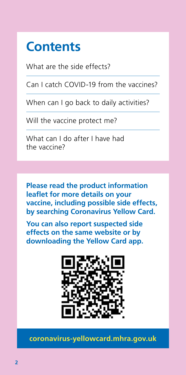# **Contents**

What are the side effects?

Can I catch COVID-19 from the vaccines?

When can I go back to daily activities?

Will the vaccine protect me?

What can I do after I have had the vaccine?

**Please read the product information leaflet for more details on your vaccine, including possible side effects, by searching Coronavirus Yellow Card.**

**You can also report suspected side effects on the same website or by downloading the Yellow Card app.**



**[coronavirus-yellowcard.mhra.gov.uk](https://coronavirus-yellowcard.mhra.gov.uk/)**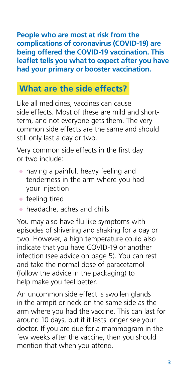**People who are most at risk from the complications of coronavirus (COVID-19) are being offered the COVID-19 vaccination. This leaflet tells you what to expect after you have had your primary or booster vaccination.**

# **What are the side effects?**

Like all medicines, vaccines can cause side effects. Most of these are mild and shortterm, and not everyone gets them. The very common side effects are the same and should still only last a day or two.

Very common side effects in the first day or two include:

- having a painful, heavy feeling and tenderness in the arm where you had your injection
- feeling tired
- $\bullet$  headache, aches and chills

You may also have flu like symptoms with episodes of shivering and shaking for a day or two. However, a high temperature could also indicate that you have COVID-19 or another infection (see advice on page 5). You can rest and take the normal dose of paracetamol (follow the advice in the packaging) to help make you feel better.

An uncommon side effect is swollen glands in the armpit or neck on the same side as the arm where you had the vaccine. This can last for around 10 days, but if it lasts longer see your doctor. If you are due for a mammogram in the few weeks after the vaccine, then you should mention that when you attend.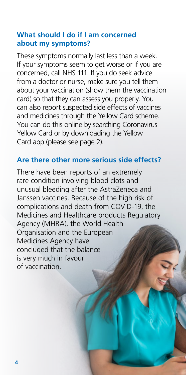#### **What should I do if I am concerned about my symptoms?**

These symptoms normally last less than a week. If your symptoms seem to get worse or if you are concerned, call NHS 111. If you do seek advice from a doctor or nurse, make sure you tell them about your vaccination (show them the vaccination card) so that they can assess you properly. You can also report suspected side effects of vaccines and medicines through the Yellow Card scheme. You can do this online by searching Coronavirus Yellow Card or by downloading the Yellow Card app (please see page 2).

#### **Are there other more serious side effects?**

There have been reports of an extremely rare condition involving blood clots and unusual bleeding after the AstraZeneca and Janssen vaccines. Because of the high risk of complications and death from COVID-19, the Medicines and Healthcare products Regulatory Agency (MHRA), the World Health Organisation and the European Medicines Agency have concluded that the balance is very much in favour of vaccination.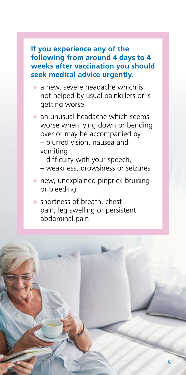#### **If you experience any of the following from around 4 days to 4 weeks after vaccination you should seek medical advice urgently.**

- a new, severe headache which is not helped by usual painkillers or is getting worse
- an unusual headache which seems worse when lying down or bending over or may be accompanied by – blurred vision, nausea and vomiting
	- diffculty with your speech,
	- weakness, drowsiness or seizures
- new, unexplained pinprick bruising or bleeding
- shortness of breath, chest pain, leg swelling or persistent abdominal pain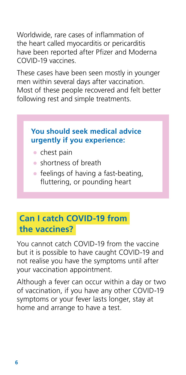Worldwide, rare cases of infammation of the heart called myocarditis or pericarditis have been reported after Pfizer and Moderna COVID-19 vaccines.

These cases have been seen mostly in younger men within several days after vaccination. Most of these people recovered and felt better following rest and simple treatments.

#### **You should seek medical advice urgently if you experience:**

- chest pain
- shortness of breath
- $\bullet$  feelings of having a fast-beating, futtering, or pounding heart

# **Can I catch COVID-19 from the vaccines?**

You cannot catch COVID-19 from the vaccine but it is possible to have caught COVID-19 and not realise you have the symptoms until after your vaccination appointment.

Although a fever can occur within a day or two of vaccination, if you have any other COVID-19 symptoms or your fever lasts longer, stay at home and arrange to have a test.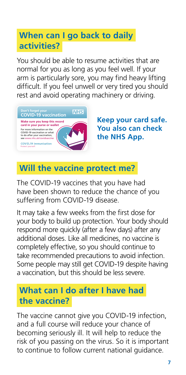# **When can I go back to daily activities?**

You should be able to resume activities that are normal for you as long as you feel well. If your arm is particularly sore, you may find heavy lifting difficult. If you feel unwell or very tired you should rest and avoid operating machinery or driving.



**Keep your card safe. You also can check the NHS App.**

# **Will the vaccine protect me?**

The COVID-19 vaccines that you have had have been shown to reduce the chance of you suffering from COVID-19 disease.

It may take a few weeks from the first dose for your body to build up protection. Your body should respond more quickly (after a few days) after any additional doses. Like all medicines, no vaccine is completely effective, so you should continue to take recommended precautions to avoid infection. Some people may still get COVID-19 despite having a vaccination, but this should be less severe.

## **What can I do after I have had the vaccine?**

The vaccine cannot give you COVID-19 infection, and a full course will reduce your chance of becoming seriously ill. It will help to reduce the risk of you passing on the virus. So it is important to continue to follow current national guidance.